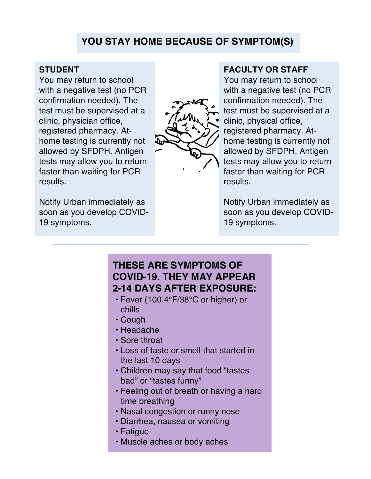## **YOU STAY HOME BECAUSE OF SYMPTOM(S)**

### **STUDENT**

You may return to school with a negative test (no PCR confirmation needed). The test must be supervised at a clinic, physician office, registered pharmacy. Athome testing is currently not allowed by SFDPH. Antigen tests may allow you to return faster than waiting for PCR results.

Notify Urban immediately as soon as you develop COVID-19 symptoms.



#### **FACULTY OR STAFF**

You may return to school with a negative test (no PCR confirmation needed). The test must be supervised at a clinic, physical office, registered pharmacy. Athome testing is currently not allowed by SFDPH. Antigen tests may allow you to return faster than waiting for PCR results.

Notify Urban immediately as soon as you develop COVID-19 symptoms.

### **THESE ARE SYMPTOMS OF COVID-19. THEY MAY APPEAR 2-14 DAYS AFTER EXPOSURE:**

- Fever (100.4°F/38°C or higher) or chills
- Cough
- Headache
- Sore throat
- Loss of taste or smell that started in the last 10 days
- Children may say that food "tastes bad" or "tastes funny"
- Feeling out of breath or having a hard time breathing
- Nasal congestion or runny nose
- Diarrhea, nausea or vomiting
- Fatigue
- Muscle aches or body aches